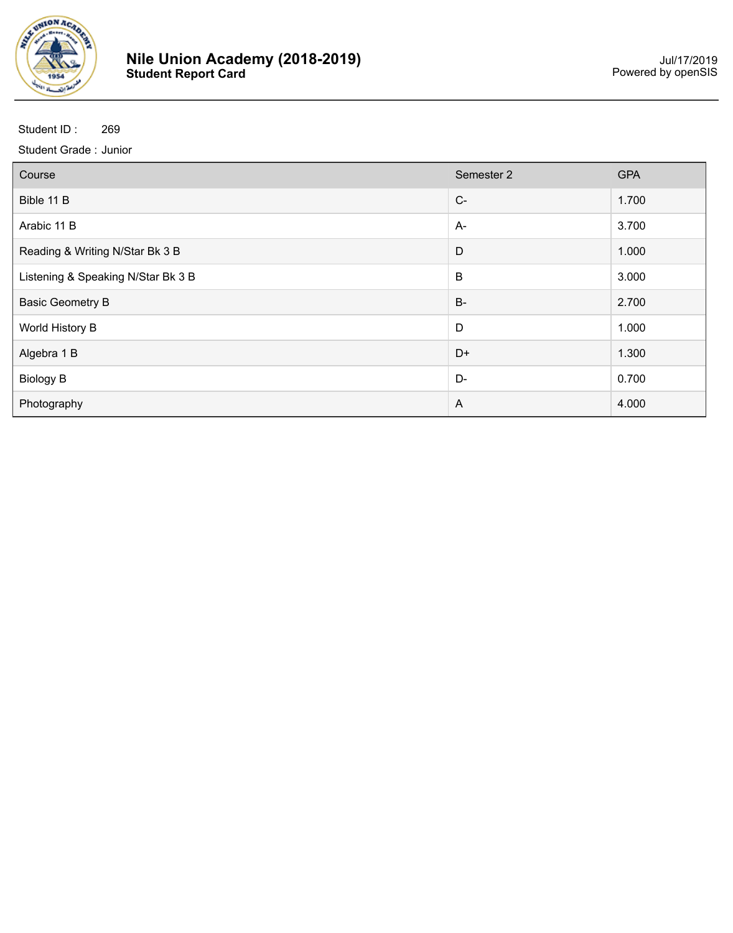

| Course                             | Semester 2     | <b>GPA</b> |
|------------------------------------|----------------|------------|
| Bible 11 B                         | $C-$           | 1.700      |
| Arabic 11 B                        | $A-$           | 3.700      |
| Reading & Writing N/Star Bk 3 B    | D              | 1.000      |
| Listening & Speaking N/Star Bk 3 B | B              | 3.000      |
| <b>Basic Geometry B</b>            | $B-$           | 2.700      |
| World History B                    | D              | 1.000      |
| Algebra 1 B                        | D+             | 1.300      |
| <b>Biology B</b>                   | D-             | 0.700      |
| Photography                        | $\overline{A}$ | 4.000      |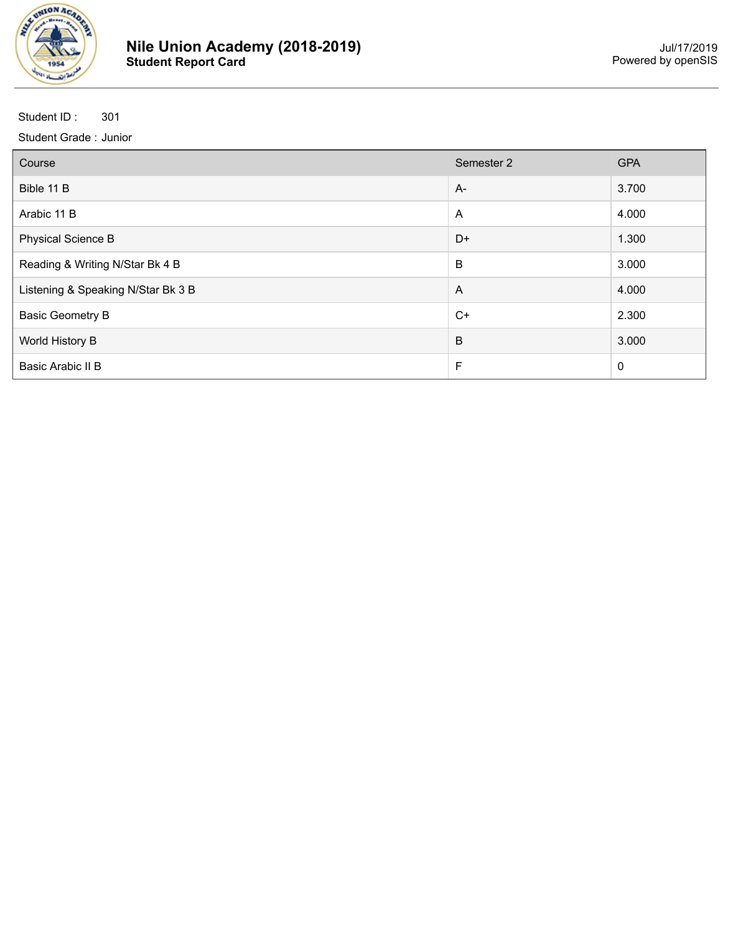

| Course                             | Semester 2     | <b>GPA</b>  |
|------------------------------------|----------------|-------------|
| Bible 11 B                         | $A -$          | 3.700       |
| Arabic 11 B                        | $\mathsf{A}$   | 4.000       |
| <b>Physical Science B</b>          | $D+$           | 1.300       |
| Reading & Writing N/Star Bk 4 B    | B              | 3.000       |
| Listening & Speaking N/Star Bk 3 B | $\overline{A}$ | 4.000       |
| <b>Basic Geometry B</b>            | $C+$           | 2.300       |
| World History B                    | $\sf B$        | 3.000       |
| Basic Arabic II B                  | F              | $\mathbf 0$ |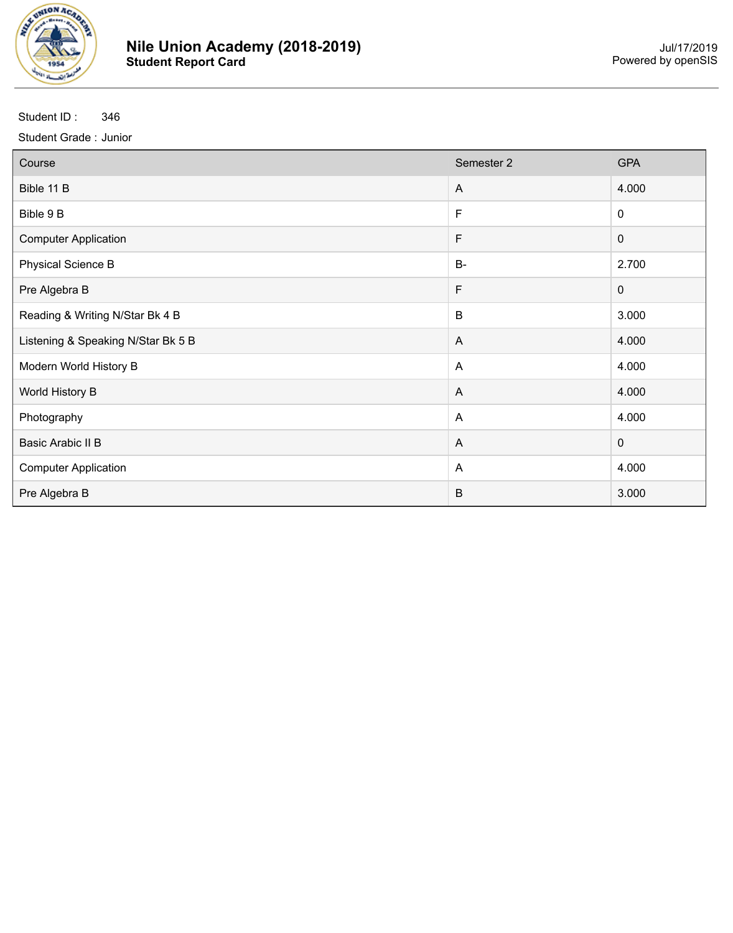

| Course                             | Semester 2   | <b>GPA</b>  |
|------------------------------------|--------------|-------------|
| Bible 11 B                         | $\mathsf{A}$ | 4.000       |
| Bible 9 B                          | F            | $\mathbf 0$ |
| <b>Computer Application</b>        | F            | $\pmb{0}$   |
| <b>Physical Science B</b>          | <b>B-</b>    | 2.700       |
| Pre Algebra B                      | F            | $\mathbf 0$ |
| Reading & Writing N/Star Bk 4 B    | B            | 3.000       |
| Listening & Speaking N/Star Bk 5 B | $\mathsf{A}$ | 4.000       |
| Modern World History B             | $\mathsf{A}$ | 4.000       |
| World History B                    | A            | 4.000       |
| Photography                        | $\mathsf{A}$ | 4.000       |
| Basic Arabic II B                  | $\mathsf{A}$ | $\mathbf 0$ |
| <b>Computer Application</b>        | A            | 4.000       |
| Pre Algebra B                      | $\sf B$      | 3.000       |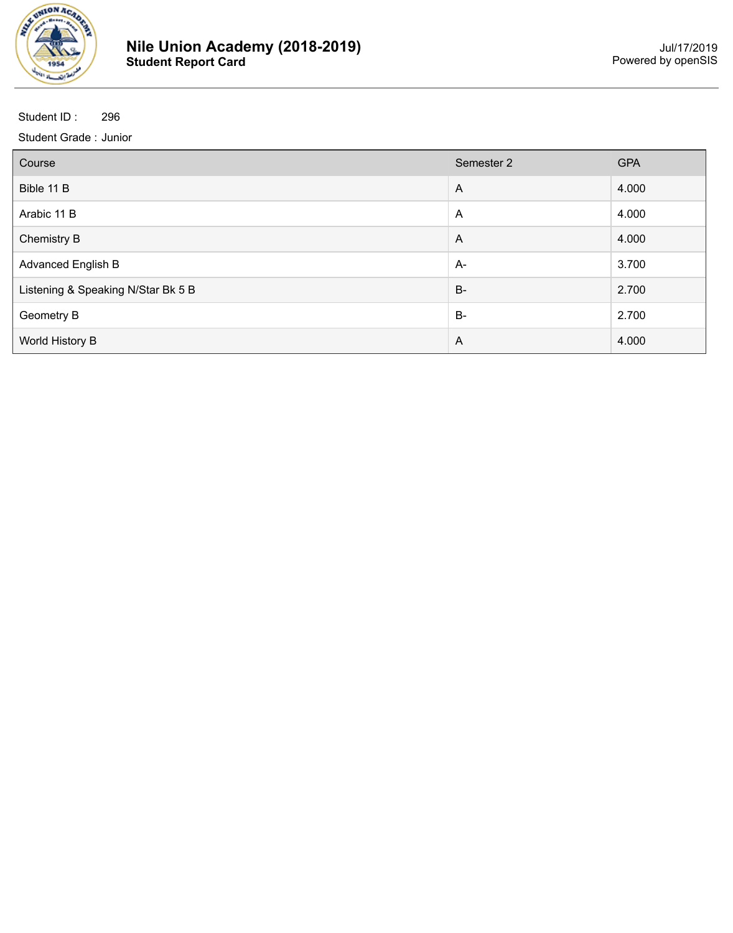

| Course                             | Semester 2     | <b>GPA</b> |
|------------------------------------|----------------|------------|
| Bible 11 B                         | $\overline{A}$ | 4.000      |
| Arabic 11 B                        | $\overline{A}$ | 4.000      |
| <b>Chemistry B</b>                 | $\overline{A}$ | 4.000      |
| <b>Advanced English B</b>          | A-             | 3.700      |
| Listening & Speaking N/Star Bk 5 B | $B-$           | 2.700      |
| Geometry B                         | $B-$           | 2.700      |
| World History B                    | $\overline{A}$ | 4.000      |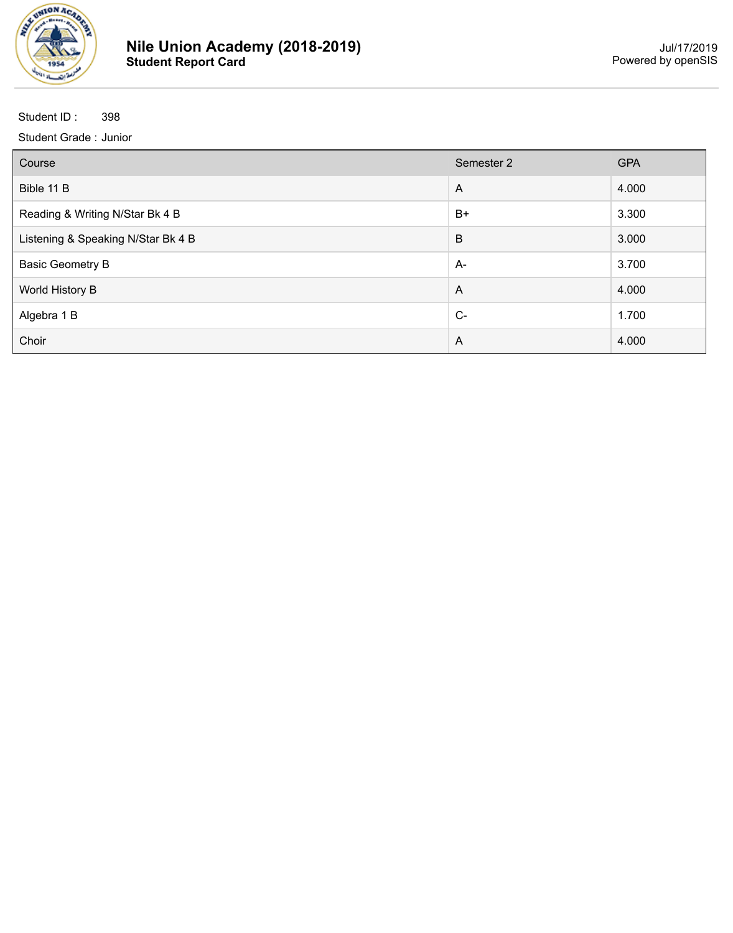

| Course                             | Semester 2     | <b>GPA</b> |
|------------------------------------|----------------|------------|
| Bible 11 B                         | $\overline{A}$ | 4.000      |
| Reading & Writing N/Star Bk 4 B    | $B+$           | 3.300      |
| Listening & Speaking N/Star Bk 4 B | B              | 3.000      |
| <b>Basic Geometry B</b>            | $A-$           | 3.700      |
| World History B                    | $\overline{A}$ | 4.000      |
| Algebra 1 B                        | $C-$           | 1.700      |
| Choir                              | A              | 4.000      |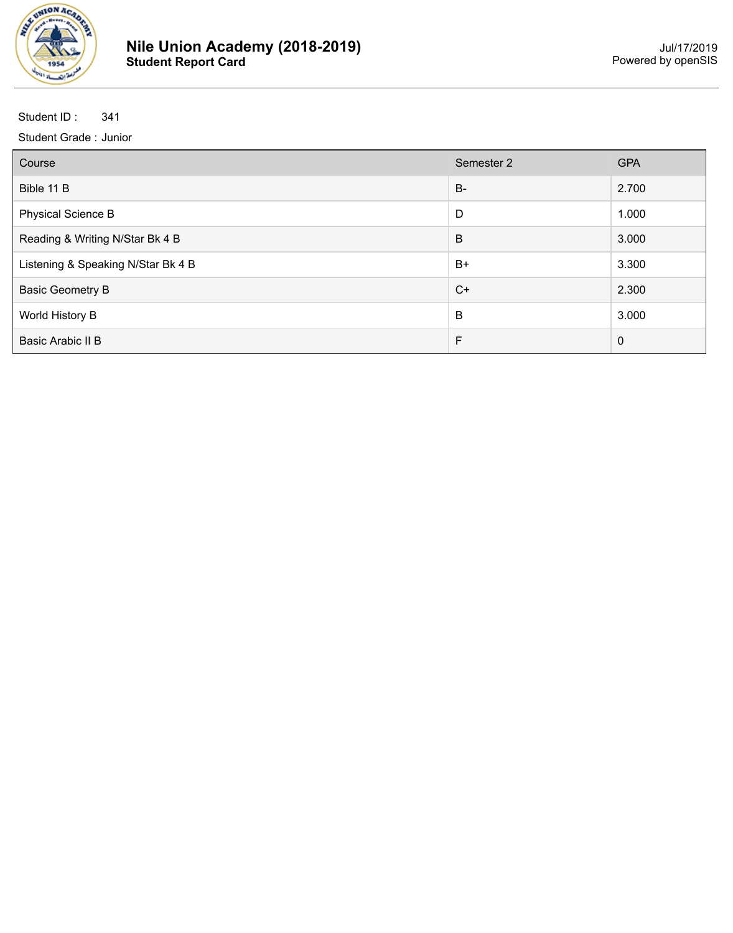

| Course                             | Semester 2 | <b>GPA</b>  |
|------------------------------------|------------|-------------|
| Bible 11 B                         | <b>B-</b>  | 2.700       |
| <b>Physical Science B</b>          | D          | 1.000       |
| Reading & Writing N/Star Bk 4 B    | B          | 3.000       |
| Listening & Speaking N/Star Bk 4 B | $B+$       | 3.300       |
| <b>Basic Geometry B</b>            | $C+$       | 2.300       |
| World History B                    | B          | 3.000       |
| Basic Arabic II B                  | F          | $\mathbf 0$ |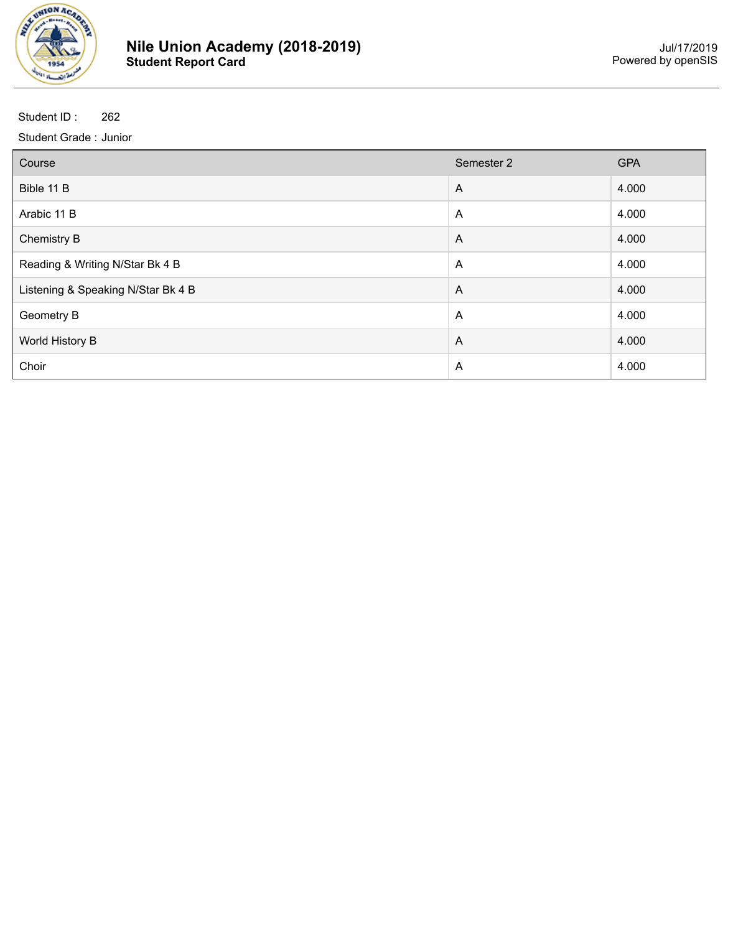

| Course                             | Semester 2     | <b>GPA</b> |
|------------------------------------|----------------|------------|
| Bible 11 B                         | $\overline{A}$ | 4.000      |
| Arabic 11 B                        | A              | 4.000      |
| <b>Chemistry B</b>                 | $\overline{A}$ | 4.000      |
| Reading & Writing N/Star Bk 4 B    | $\overline{A}$ | 4.000      |
| Listening & Speaking N/Star Bk 4 B | $\overline{A}$ | 4.000      |
| <b>Geometry B</b>                  | $\overline{A}$ | 4.000      |
| World History B                    | $\overline{A}$ | 4.000      |
| Choir                              | A              | 4.000      |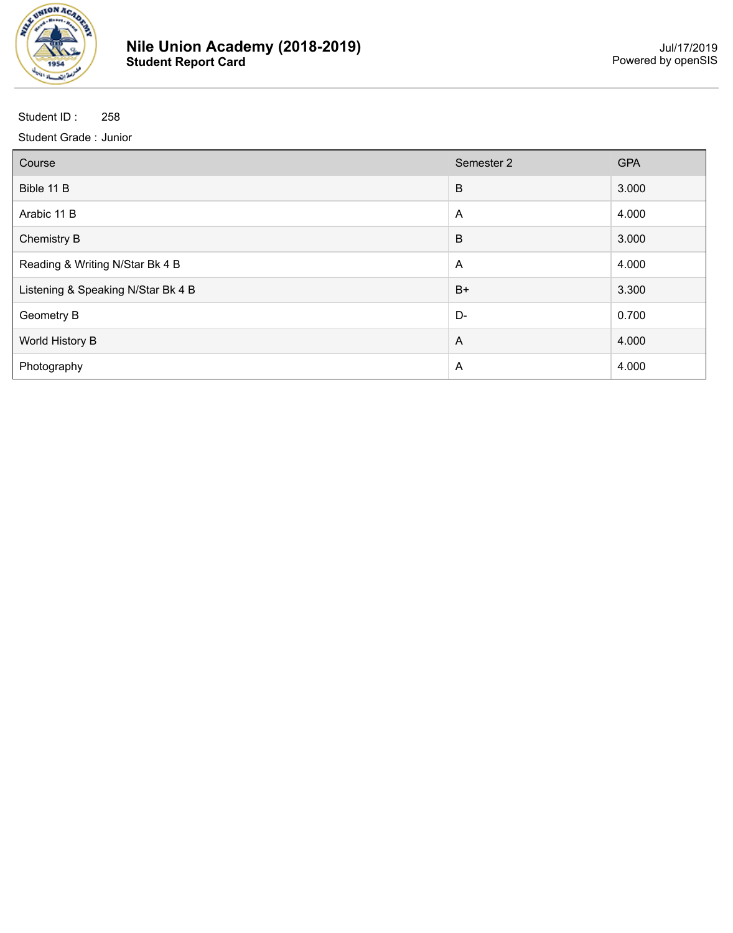

| Course                             | Semester 2     | <b>GPA</b> |
|------------------------------------|----------------|------------|
| Bible 11 B                         | B              | 3.000      |
| Arabic 11 B                        | A              | 4.000      |
| <b>Chemistry B</b>                 | B              | 3.000      |
| Reading & Writing N/Star Bk 4 B    | $\overline{A}$ | 4.000      |
| Listening & Speaking N/Star Bk 4 B | $B+$           | 3.300      |
| <b>Geometry B</b>                  | D-             | 0.700      |
| World History B                    | $\overline{A}$ | 4.000      |
| Photography                        | A              | 4.000      |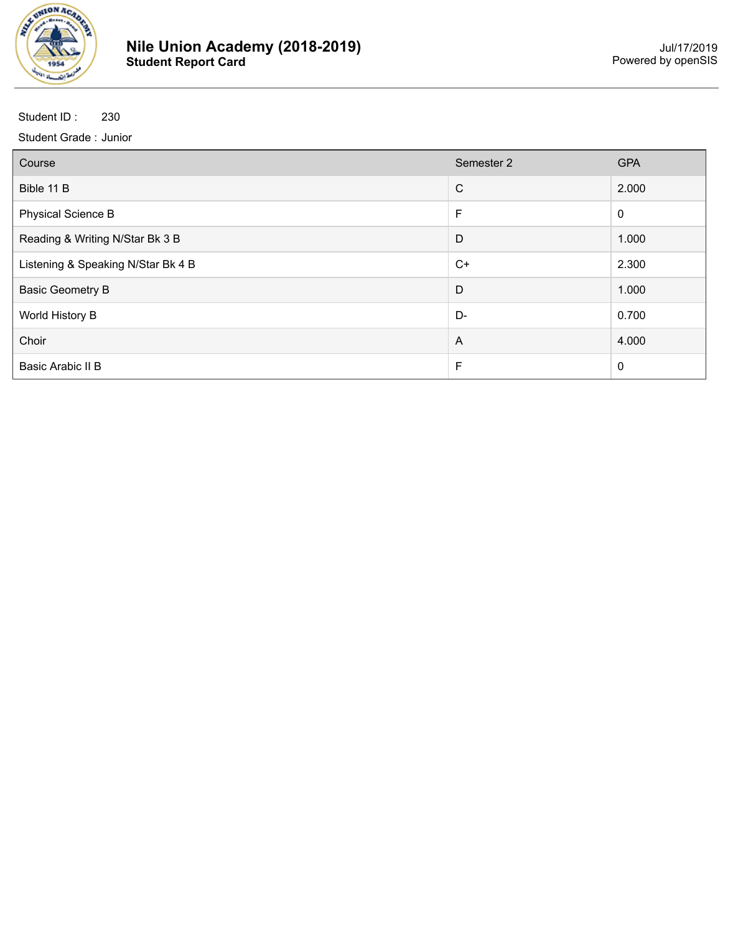

| Course                             | Semester 2     | <b>GPA</b>  |
|------------------------------------|----------------|-------------|
| Bible 11 B                         | $\mathsf{C}$   | 2.000       |
| <b>Physical Science B</b>          | F              | $\mathbf 0$ |
| Reading & Writing N/Star Bk 3 B    | D              | 1.000       |
| Listening & Speaking N/Star Bk 4 B | $C+$           | 2.300       |
| <b>Basic Geometry B</b>            | D              | 1.000       |
| World History B                    | D-             | 0.700       |
| Choir                              | $\overline{A}$ | 4.000       |
| Basic Arabic II B                  | F              | $\mathbf 0$ |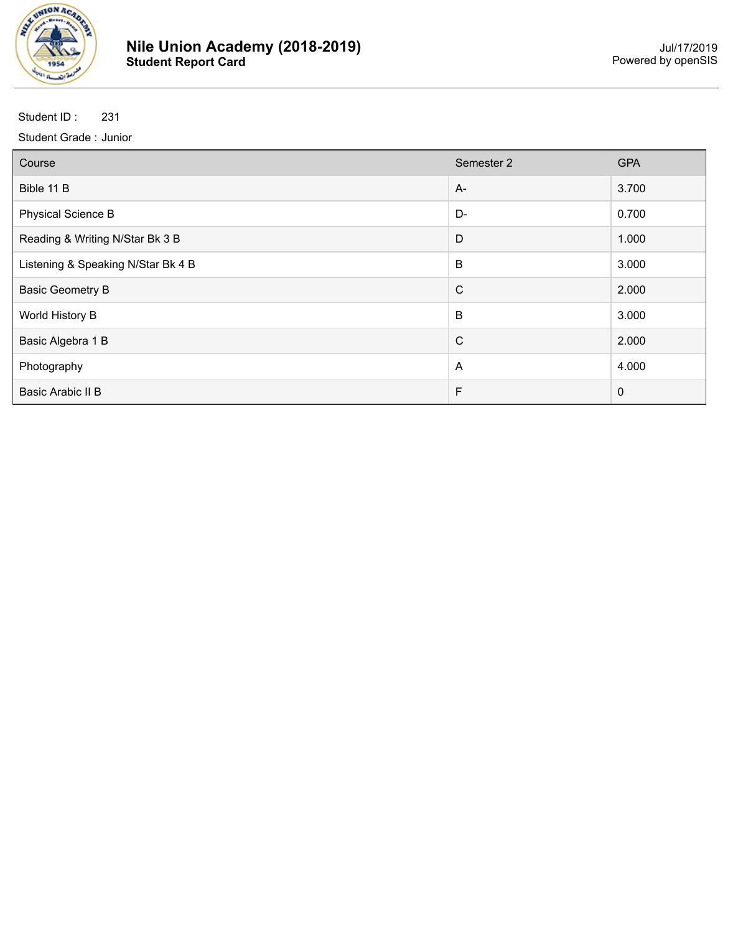

| Course                             | Semester 2   | <b>GPA</b>  |
|------------------------------------|--------------|-------------|
| Bible 11 B                         | $A-$         | 3.700       |
| <b>Physical Science B</b>          | D-           | 0.700       |
| Reading & Writing N/Star Bk 3 B    | D            | 1.000       |
| Listening & Speaking N/Star Bk 4 B | B            | 3.000       |
| <b>Basic Geometry B</b>            | $\mathsf{C}$ | 2.000       |
| World History B                    | B            | 3.000       |
| Basic Algebra 1 B                  | $\mathsf{C}$ | 2.000       |
| Photography                        | A            | 4.000       |
| Basic Arabic II B                  | F            | $\mathbf 0$ |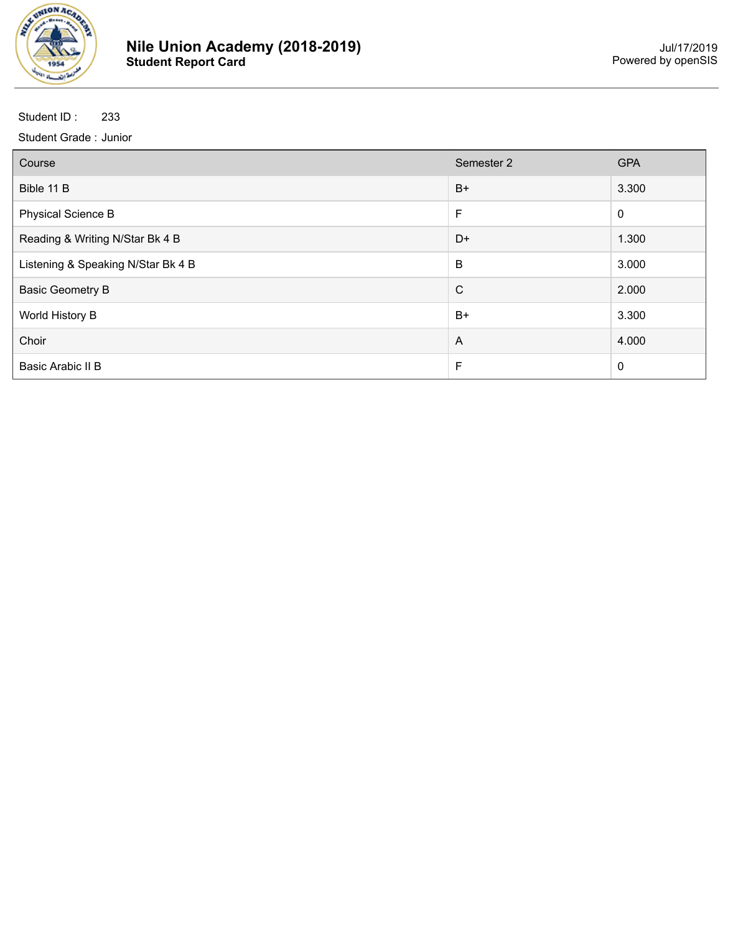

| Course                             | Semester 2     | <b>GPA</b>  |
|------------------------------------|----------------|-------------|
| Bible 11 B                         | $B+$           | 3.300       |
| <b>Physical Science B</b>          | F              | $\mathbf 0$ |
| Reading & Writing N/Star Bk 4 B    | D+             | 1.300       |
| Listening & Speaking N/Star Bk 4 B | B              | 3.000       |
| <b>Basic Geometry B</b>            | $\mathsf{C}$   | 2.000       |
| World History B                    | $B+$           | 3.300       |
| Choir                              | $\overline{A}$ | 4.000       |
| Basic Arabic II B                  | F              | $\mathbf 0$ |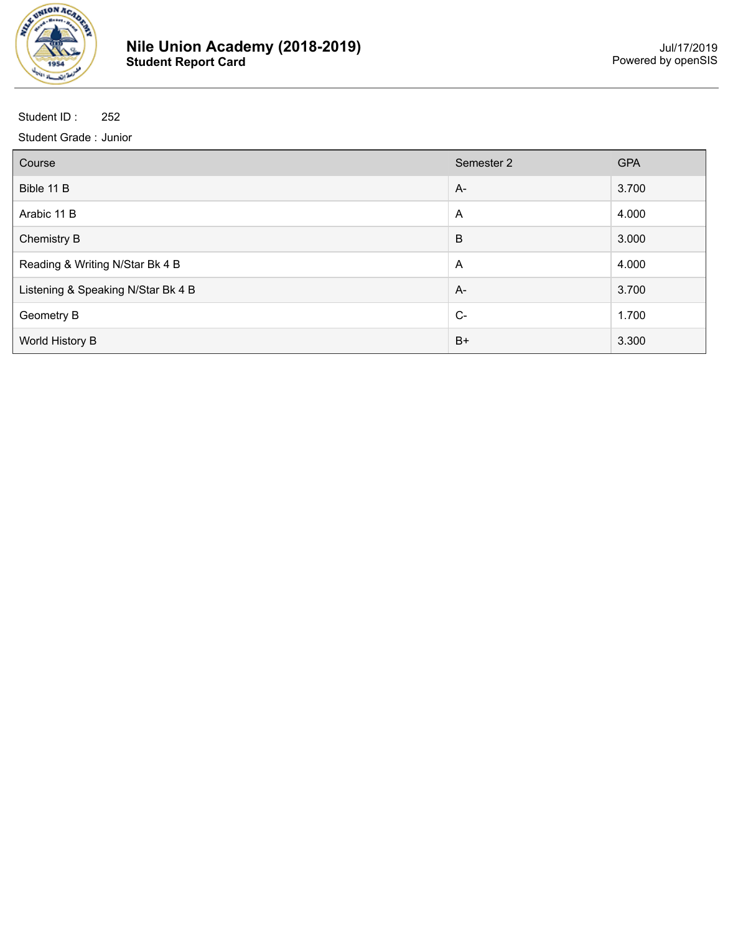

| Course                             | Semester 2     | <b>GPA</b> |
|------------------------------------|----------------|------------|
| Bible 11 B                         | $A-$           | 3.700      |
| Arabic 11 B                        | A              | 4.000      |
| <b>Chemistry B</b>                 | B              | 3.000      |
| Reading & Writing N/Star Bk 4 B    | $\overline{A}$ | 4.000      |
| Listening & Speaking N/Star Bk 4 B | $A-$           | 3.700      |
| Geometry B                         | $C-$           | 1.700      |
| World History B                    | $B+$           | 3.300      |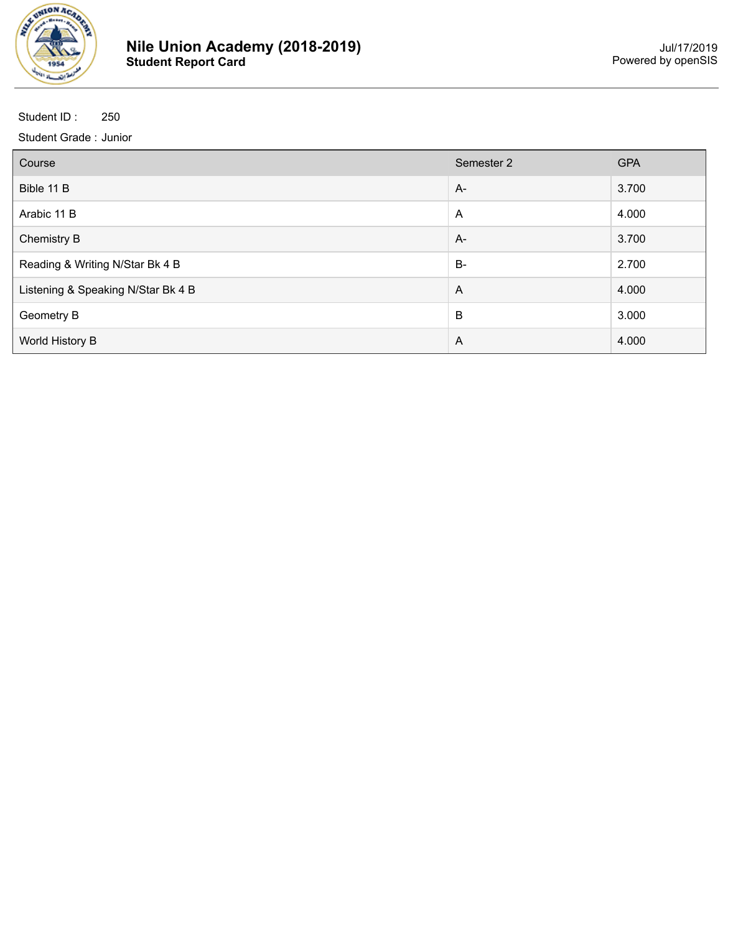

| Course                             | Semester 2     | <b>GPA</b> |
|------------------------------------|----------------|------------|
| Bible 11 B                         | $A-$           | 3.700      |
| Arabic 11 B                        | A              | 4.000      |
| <b>Chemistry B</b>                 | A-             | 3.700      |
| Reading & Writing N/Star Bk 4 B    | $B-$           | 2.700      |
| Listening & Speaking N/Star Bk 4 B | $\overline{A}$ | 4.000      |
| Geometry B                         | B              | 3.000      |
| World History B                    | $\overline{A}$ | 4.000      |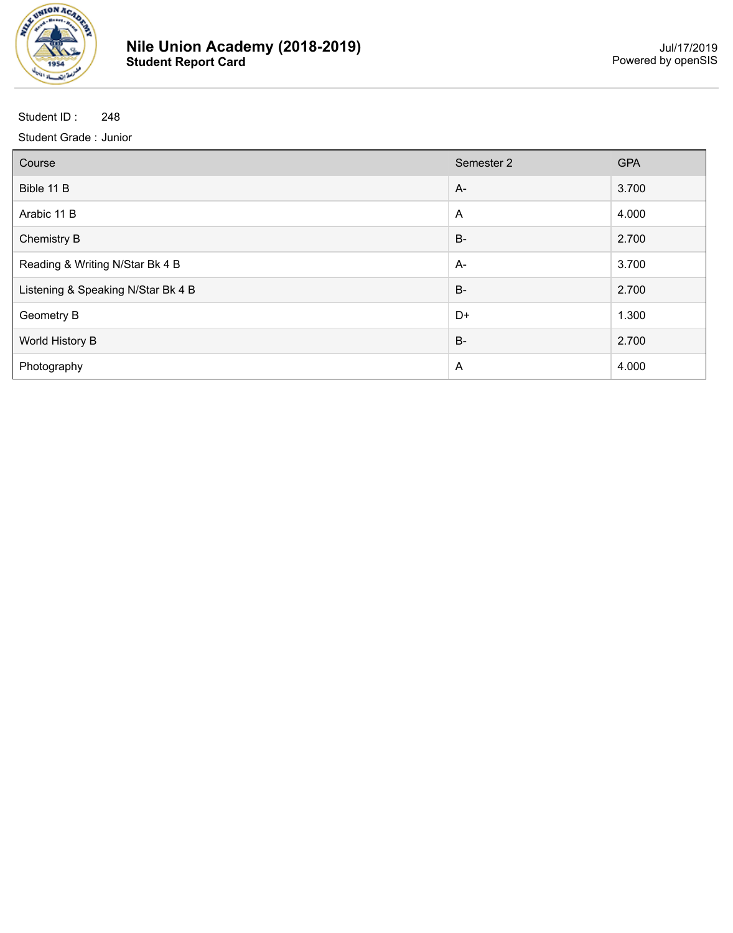

| Course                             | Semester 2     | <b>GPA</b> |
|------------------------------------|----------------|------------|
| Bible 11 B                         | $A-$           | 3.700      |
| Arabic 11 B                        | $\overline{A}$ | 4.000      |
| <b>Chemistry B</b>                 | $B-$           | 2.700      |
| Reading & Writing N/Star Bk 4 B    | $A-$           | 3.700      |
| Listening & Speaking N/Star Bk 4 B | $B-$           | 2.700      |
| <b>Geometry B</b>                  | D+             | 1.300      |
| World History B                    | $B -$          | 2.700      |
| Photography                        | A              | 4.000      |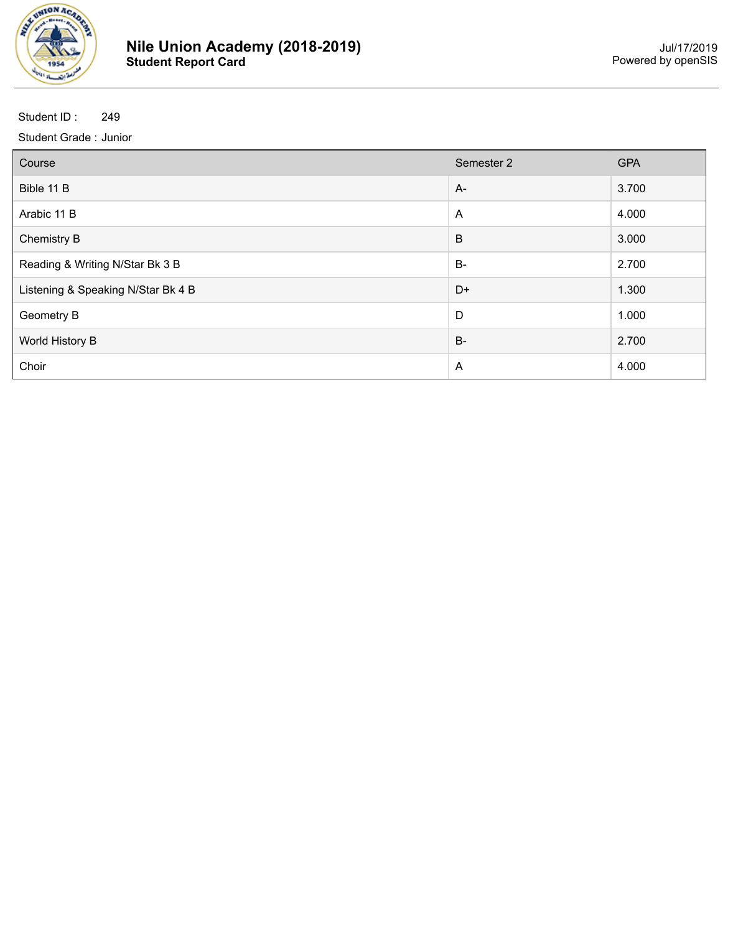

| Course                             | Semester 2     | <b>GPA</b> |
|------------------------------------|----------------|------------|
| Bible 11 B                         | $A -$          | 3.700      |
| Arabic 11 B                        | $\overline{A}$ | 4.000      |
| <b>Chemistry B</b>                 | B              | 3.000      |
| Reading & Writing N/Star Bk 3 B    | $B-$           | 2.700      |
| Listening & Speaking N/Star Bk 4 B | D+             | 1.300      |
| <b>Geometry B</b>                  | D              | 1.000      |
| World History B                    | $B -$          | 2.700      |
| Choir                              | A              | 4.000      |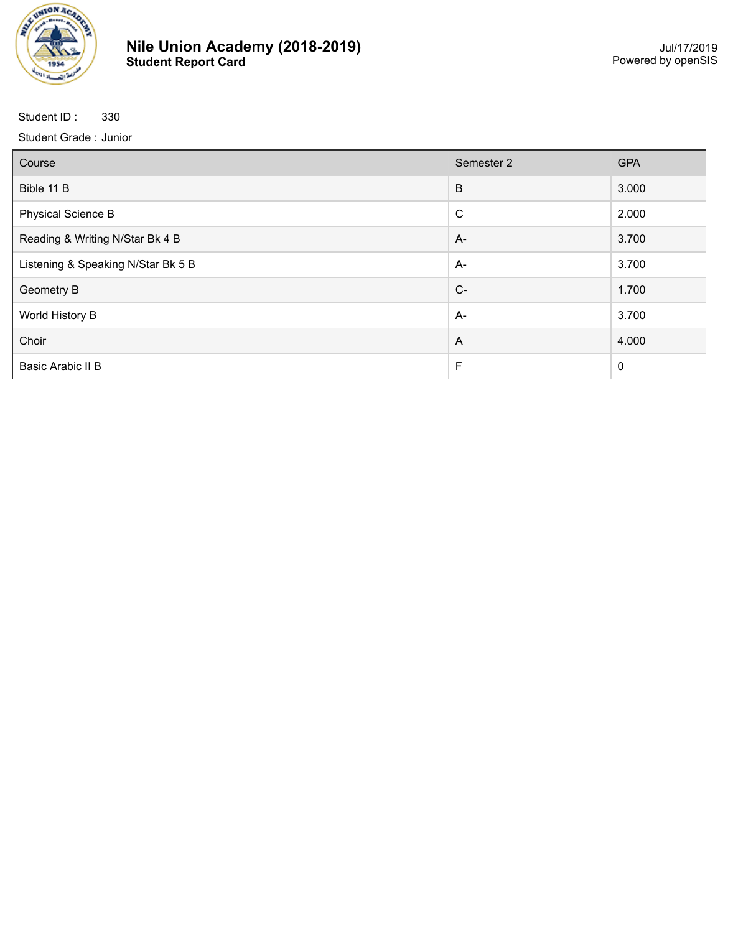

| Course                             | Semester 2     | <b>GPA</b>  |
|------------------------------------|----------------|-------------|
| Bible 11 B                         | B              | 3.000       |
| <b>Physical Science B</b>          | $\mathsf{C}$   | 2.000       |
| Reading & Writing N/Star Bk 4 B    | $A -$          | 3.700       |
| Listening & Speaking N/Star Bk 5 B | A-             | 3.700       |
| <b>Geometry B</b>                  | $C-$           | 1.700       |
| World History B                    | $A -$          | 3.700       |
| Choir                              | $\overline{A}$ | 4.000       |
| <b>Basic Arabic II B</b>           | F              | $\mathbf 0$ |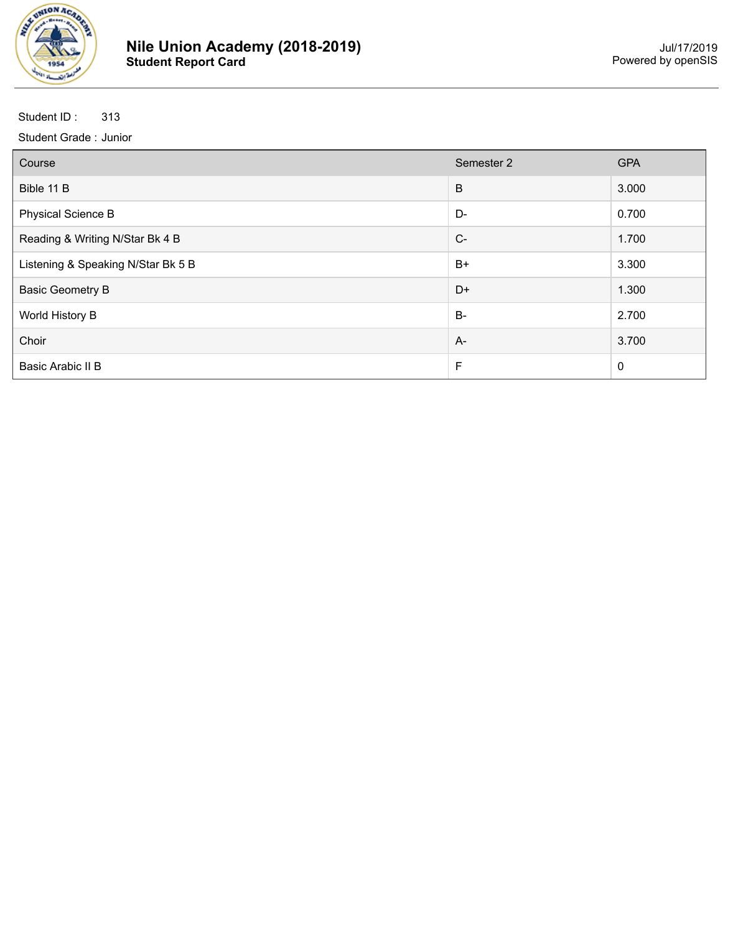

| Course                             | Semester 2 | <b>GPA</b>  |
|------------------------------------|------------|-------------|
| Bible 11 B                         | B          | 3.000       |
| <b>Physical Science B</b>          | D-         | 0.700       |
| Reading & Writing N/Star Bk 4 B    | $C-$       | 1.700       |
| Listening & Speaking N/Star Bk 5 B | $B+$       | 3.300       |
| <b>Basic Geometry B</b>            | D+         | 1.300       |
| World History B                    | $B -$      | 2.700       |
| Choir                              | $A -$      | 3.700       |
| Basic Arabic II B                  | F          | $\mathbf 0$ |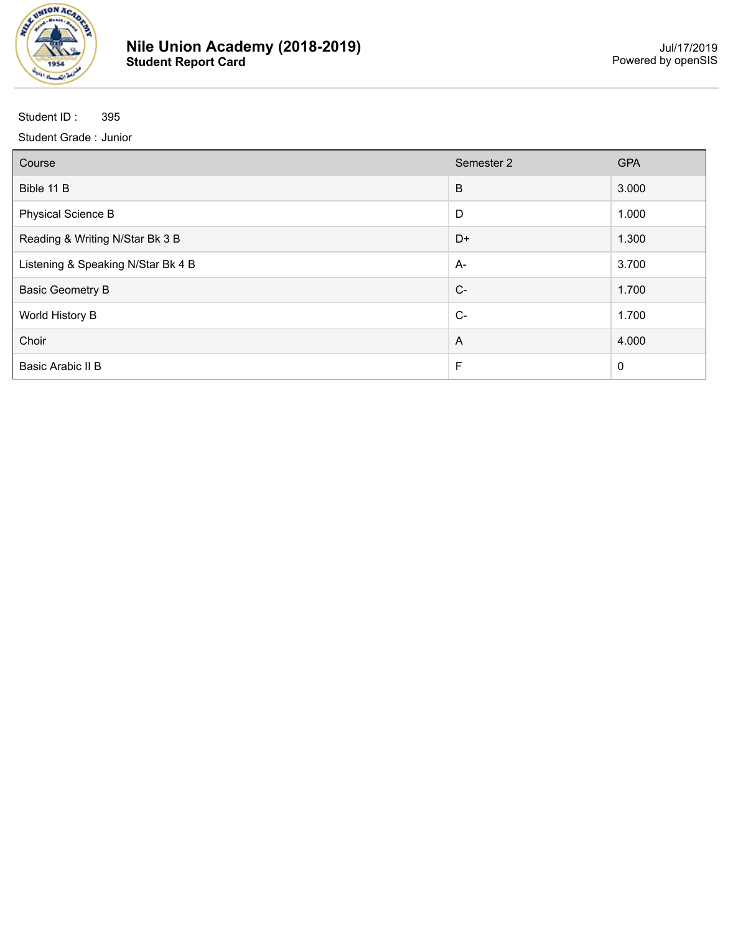

| Course                             | Semester 2     | <b>GPA</b>       |
|------------------------------------|----------------|------------------|
| Bible 11 B                         | B              | 3.000            |
| <b>Physical Science B</b>          | D              | 1.000            |
| Reading & Writing N/Star Bk 3 B    | D+             | 1.300            |
| Listening & Speaking N/Star Bk 4 B | $A -$          | 3.700            |
| <b>Basic Geometry B</b>            | $C-$           | 1.700            |
| World History B                    | $C-$           | 1.700            |
| Choir                              | $\overline{A}$ | 4.000            |
| Basic Arabic II B                  | F              | $\boldsymbol{0}$ |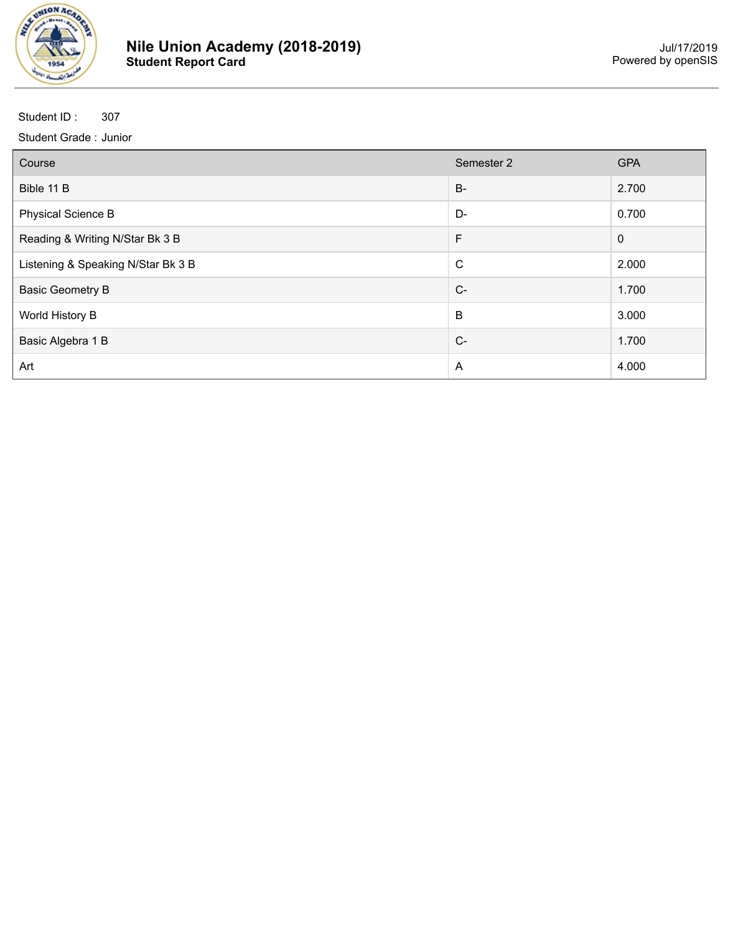

| Course                             | Semester 2  | <b>GPA</b>  |
|------------------------------------|-------------|-------------|
| Bible 11 B                         | $B -$       | 2.700       |
| <b>Physical Science B</b>          | D-          | 0.700       |
| Reading & Writing N/Star Bk 3 B    | F           | $\mathbf 0$ |
| Listening & Speaking N/Star Bk 3 B | $\mathsf C$ | 2.000       |
| <b>Basic Geometry B</b>            | $C-$        | 1.700       |
| World History B                    | B           | 3.000       |
| Basic Algebra 1 B                  | $C-$        | 1.700       |
| Art                                | A           | 4.000       |